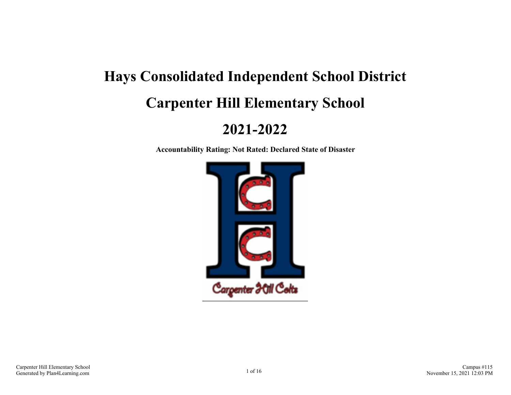# **Hays Consolidated Independent School District Carpenter Hill Elementary School**

# **2021-2022**

**Accountability Rating: Not Rated: Declared State of Disaster**

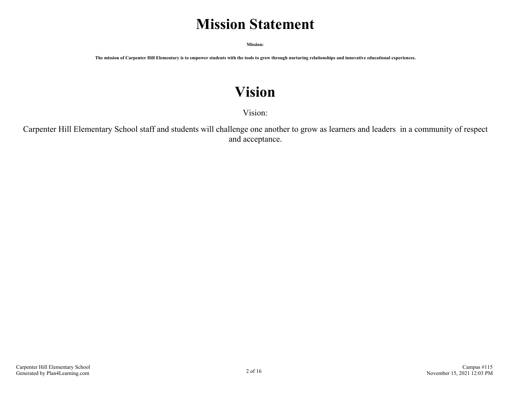# **Mission Statement**

**Mission:**

**The mission of Carpenter Hill Elementary is to empower students with the tools to grow through nurturing relationships and innovative educational experiences.**

# **Vision**

Vision:

Carpenter Hill Elementary School staff and students will challenge one another to grow as learners and leaders in a community of respect and acceptance.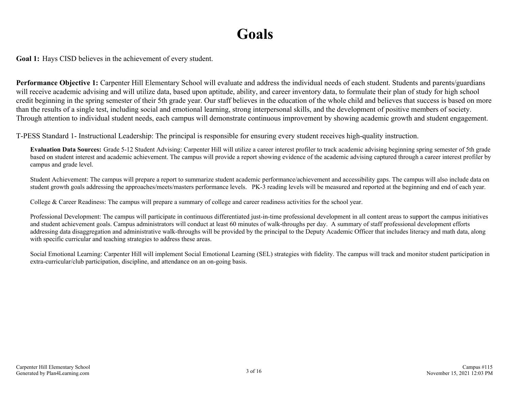# **Goals**

**Goal 1:** Hays CISD believes in the achievement of every student.

**Performance Objective 1:** Carpenter Hill Elementary School will evaluate and address the individual needs of each student. Students and parents/guardians will receive academic advising and will utilize data, based upon aptitude, ability, and career inventory data, to formulate their plan of study for high school credit beginning in the spring semester of their 5th grade year. Our staff believes in the education of the whole child and believes that success is based on more than the results of a single test, including social and emotional learning, strong interpersonal skills, and the development of positive members of society. Through attention to individual student needs, each campus will demonstrate continuous improvement by showing academic growth and student engagement.

T-PESS Standard 1- Instructional Leadership: The principal is responsible for ensuring every student receives high-quality instruction.

**Evaluation Data Sources:** Grade 5-12 Student Advising: Carpenter Hill will utilize a career interest profiler to track academic advising beginning spring semester of 5th grade based on student interest and academic achievement. The campus will provide a report showing evidence of the academic advising captured through a career interest profiler by campus and grade level.

Student Achievement: The campus will prepare a report to summarize student academic performance/achievement and accessibility gaps. The campus will also include data on student growth goals addressing the approaches/meets/masters performance levels. PK-3 reading levels will be measured and reported at the beginning and end of each year.

College & Career Readiness: The campus will prepare a summary of college and career readiness activities for the school year.

Professional Development: The campus will participate in continuous differentiated just-in-time professional development in all content areas to support the campus initiatives and student achievement goals. Campus administrators will conduct at least 60 minutes of walk-throughs per day. A summary of staff professional development efforts addressing data disaggregation and administrative walk-throughs will be provided by the principal to the Deputy Academic Officer that includes literacy and math data, along with specific curricular and teaching strategies to address these areas.

Social Emotional Learning: Carpenter Hill will implement Social Emotional Learning (SEL) strategies with fidelity. The campus will track and monitor student participation in extra-curricular/club participation, discipline, and attendance on an on-going basis.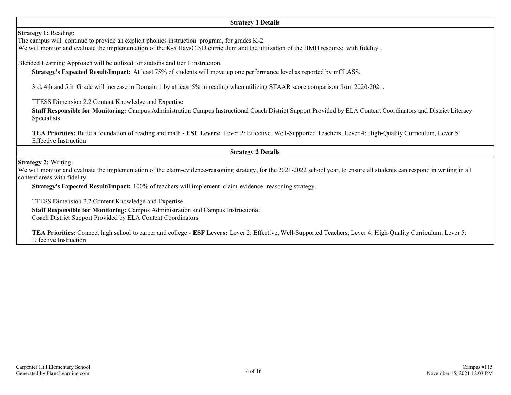#### **Strategy 1 Details**

**Strategy 1:** Reading:

The campus will continue to provide an explicit phonics instruction program, for grades K-2.

We will monitor and evaluate the implementation of the K-5 HaysCISD curriculum and the utilization of the HMH resource with fidelity.

Blended Learning Approach will be utilized for stations and tier 1 instruction.

**Strategy's Expected Result/Impact:** At least 75% of students will move up one performance level as reported by mCLASS.

3rd, 4th and 5th Grade will increase in Domain 1 by at least 5% in reading when utilizing STAAR score comparison from 2020-2021.

TTESS Dimension 2.2 Content Knowledge and Expertise

**Staff Responsible for Monitoring:** Campus Administration Campus Instructional Coach District Support Provided by ELA Content Coordinators and District Literacy Specialists

**TEA Priorities:** Build a foundation of reading and math - **ESF Levers:** Lever 2: Effective, Well-Supported Teachers, Lever 4: High-Quality Curriculum, Lever 5: Effective Instruction

**Strategy 2 Details**

**Strategy 2:** Writing:

We will monitor and evaluate the implementation of the claim-evidence-reasoning strategy, for the 2021-2022 school year, to ensure all students can respond in writing in all content areas with fidelity

**Strategy's Expected Result/Impact:** 100% of teachers will implement claim-evidence -reasoning strategy.

TTESS Dimension 2.2 Content Knowledge and Expertise

**Staff Responsible for Monitoring:** Campus Administration and Campus Instructional

Coach District Support Provided by ELA Content Coordinators

**TEA Priorities:** Connect high school to career and college - **ESF Levers:** Lever 2: Effective, Well-Supported Teachers, Lever 4: High-Quality Curriculum, Lever 5: Effective Instruction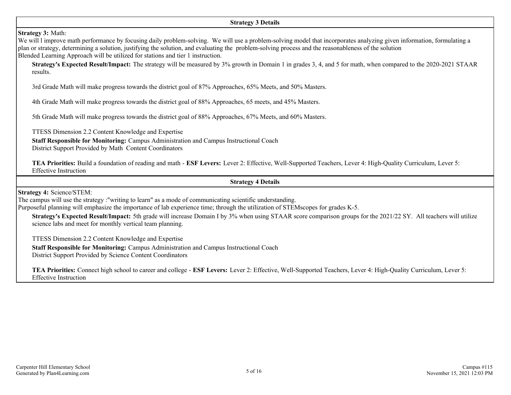# **Strategy 3:** Math:

We will 1 improve math performance by focusing daily problem-solving. We will use a problem-solving model that incorporates analyzing given information, formulating a plan or strategy, determining a solution, justifying the solution, and evaluating the problem-solving process and the reasonableness of the solution Blended Learning Approach will be utilized for stations and tier 1 instruction.

**Strategy's Expected Result/Impact:** The strategy will be measured by 3% growth in Domain 1 in grades 3, 4, and 5 for math, when compared to the 2020-2021 STAAR results.

3rd Grade Math will make progress towards the district goal of 87% Approaches, 65% Meets, and 50% Masters.

4th Grade Math will make progress towards the district goal of 88% Approaches, 65 meets, and 45% Masters.

5th Grade Math will make progress towards the district goal of 88% Approaches, 67% Meets, and 60% Masters.

TTESS Dimension 2.2 Content Knowledge and Expertise

**Staff Responsible for Monitoring:** Campus Administration and Campus Instructional Coach

District Support Provided by Math Content Coordinators

**TEA Priorities:** Build a foundation of reading and math - **ESF Levers:** Lever 2: Effective, Well-Supported Teachers, Lever 4: High-Quality Curriculum, Lever 5: Effective Instruction

#### **Strategy 4 Details**

**Strategy 4:** Science/STEM:

The campus will use the strategy :"writing to learn" as a mode of communicating scientific understanding.

Purposeful planning will emphasize the importance of lab experience time; through the utilization of STEMscopes for grades K-5.

**Strategy's Expected Result/Impact:** 5th grade will increase Domain I by 3% when using STAAR score comparison groups for the 2021/22 SY. All teachers will utilize science labs and meet for monthly vertical team planning.

TTESS Dimension 2.2 Content Knowledge and Expertise

**Staff Responsible for Monitoring:** Campus Administration and Campus Instructional Coach District Support Provided by Science Content Coordinators

**TEA Priorities:** Connect high school to career and college - **ESF Levers:** Lever 2: Effective, Well-Supported Teachers, Lever 4: High-Quality Curriculum, Lever 5: Effective Instruction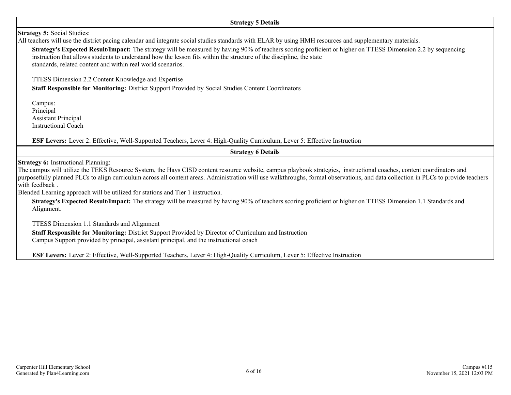#### **Strategy 5 Details**

# **Strategy 5:** Social Studies:

All teachers will use the district pacing calendar and integrate social studies standards with ELAR by using HMH resources and supplementary materials.

**Strategy's Expected Result/Impact:** The strategy will be measured by having 90% of teachers scoring proficient or higher on TTESS Dimension 2.2 by sequencing instruction that allows students to understand how the lesson fits within the structure of the discipline, the state standards, related content and within real world scenarios.

TTESS Dimension 2.2 Content Knowledge and Expertise

**Staff Responsible for Monitoring:** District Support Provided by Social Studies Content Coordinators

Campus: Principal Assistant Principal Instructional Coach

**ESF Levers:** Lever 2: Effective, Well-Supported Teachers, Lever 4: High-Quality Curriculum, Lever 5: Effective Instruction

# **Strategy 6 Details**

**Strategy 6:** Instructional Planning:

The campus will utilize the TEKS Resource System, the Hays CISD content resource website, campus playbook strategies, instructional coaches, content coordinators and purposefully planned PLCs to align curriculum across all content areas. Administration will use walkthroughs, formal observations, and data collection in PLCs to provide teachers with feedback .

Blended Learning approach will be utilized for stations and Tier 1 instruction.

**Strategy's Expected Result/Impact:** The strategy will be measured by having 90% of teachers scoring proficient or higher on TTESS Dimension 1.1 Standards and Alignment.

TTESS Dimension 1.1 Standards and Alignment

**Staff Responsible for Monitoring:** District Support Provided by Director of Curriculum and Instruction Campus Support provided by principal, assistant principal, and the instructional coach

**ESF Levers:** Lever 2: Effective, Well-Supported Teachers, Lever 4: High-Quality Curriculum, Lever 5: Effective Instruction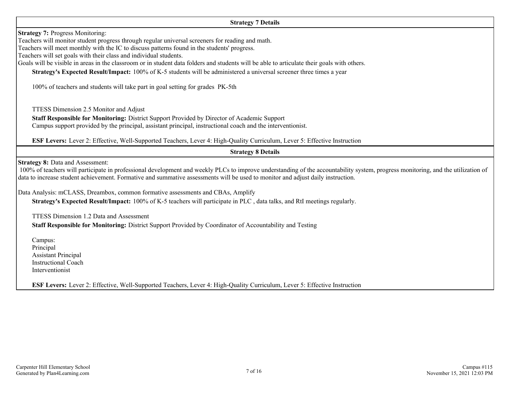#### **Strategy 7 Details**

**Strategy 7: Progress Monitoring:** 

Teachers will monitor student progress through regular universal screeners for reading and math.

Teachers will meet monthly with the IC to discuss patterns found in the students' progress.

Teachers will set goals with their class and individual students.

Goals will be visible in areas in the classroom or in student data folders and students will be able to articulate their goals with others.

**Strategy's Expected Result/Impact:** 100% of K-5 students will be administered a universal screener three times a year

100% of teachers and students will take part in goal setting for grades PK-5th

TTESS Dimension 2.5 Monitor and Adjust

**Staff Responsible for Monitoring:** District Support Provided by Director of Academic Support Campus support provided by the principal, assistant principal, instructional coach and the interventionist.

**ESF Levers:** Lever 2: Effective, Well-Supported Teachers, Lever 4: High-Quality Curriculum, Lever 5: Effective Instruction

### **Strategy 8 Details**

**Strategy 8:** Data and Assessment:

 100% of teachers will participate in professional development and weekly PLCs to improve understanding of the accountability system, progress monitoring, and the utilization of data to increase student achievement. Formative and summative assessments will be used to monitor and adjust daily instruction.

Data Analysis: mCLASS, Dreambox, common formative assessments and CBAs, Amplify

**Strategy's Expected Result/Impact:** 100% of K-5 teachers will participate in PLC , data talks, and RtI meetings regularly.

TTESS Dimension 1.2 Data and Assessment

**Staff Responsible for Monitoring:** District Support Provided by Coordinator of Accountability and Testing

Campus: Principal Assistant Principal Instructional Coach Interventionist

**ESF Levers:** Lever 2: Effective, Well-Supported Teachers, Lever 4: High-Quality Curriculum, Lever 5: Effective Instruction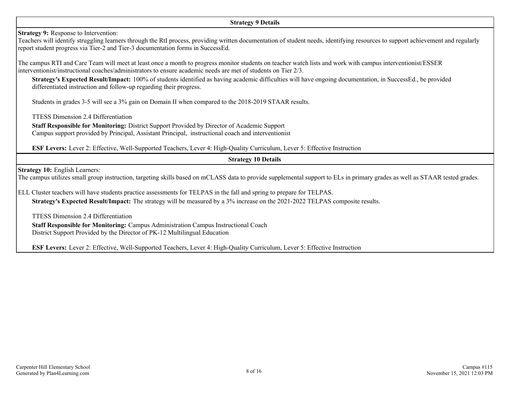#### **Strategy 9 Details**

**Strategy 9:** Response to Intervention:

Teachers will identify struggling learners through the RtI process, providing written documentation of student needs, identifying resources to support achievement and regularly report student progress via Tier-2 and Tier-3 documentation forms in SuccessEd.

The campus RTI and Care Team will meet at least once a month to progress monitor students on teacher watch lists and work with campus interventionist/ESSER interventionist/instructional coaches/administrators to ensure academic needs are met of students on Tier 2/3.

**Strategy's Expected Result/Impact:** 100% of students identified as having academic difficulties will have ongoing documentation, in SuccessEd., be provided differentiated instruction and follow-up regarding their progress.

Students in grades 3-5 will see a 3% gain on Domain II when compared to the 2018-2019 STAAR results.

TTESS Dimension 2.4 Differentiation

**Staff Responsible for Monitoring:** District Support Provided by Director of Academic Support Campus support provided by Principal, Assistant Principal, instructional coach and interventionist

**ESF Levers:** Lever 2: Effective, Well-Supported Teachers, Lever 4: High-Quality Curriculum, Lever 5: Effective Instruction

**Strategy 10 Details**

**Strategy 10:** English Learners:

The campus utilizes small group instruction, targeting skills based on mCLASS data to provide supplemental support to ELs in primary grades as well as STAAR tested grades.

ELL Cluster teachers will have students practice assessments for TELPAS in the fall and spring to prepare for TELPAS. **Strategy's Expected Result/Impact:** The strategy will be measured by a 3% increase on the 2021-2022 TELPAS composite results.

TTESS Dimension 2.4 Differentiation

**Staff Responsible for Monitoring:** Campus Administration Campus Instructional Coach District Support Provided by the Director of PK-12 Multilingual Education

**ESF Levers:** Lever 2: Effective, Well-Supported Teachers, Lever 4: High-Quality Curriculum, Lever 5: Effective Instruction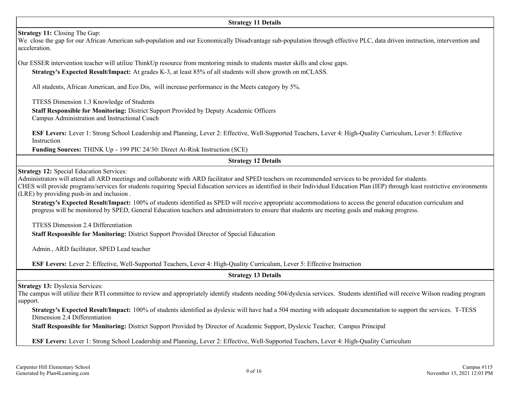#### **Strategy 11 Details**

**Strategy 11:** Closing The Gap:

We close the gap for our African American sub-population and our Economically Disadvantage sub-population through effective PLC, data driven instruction, intervention and acceleration.

Our ESSER intervention teacher will utilize ThinkUp resource from mentoring minds to students master skills and close gaps.

**Strategy's Expected Result/Impact:** At grades K-3, at least 85% of all students will show growth on mCLASS.

All students, African American, and Eco Dis, will increase performance in the Meets category by 5%.

TTESS Dimension 1.3 Knowledge of Students

**Staff Responsible for Monitoring:** District Support Provided by Deputy Academic Officers Campus Administration and Instructional Coach

**ESF Levers:** Lever 1: Strong School Leadership and Planning, Lever 2: Effective, Well-Supported Teachers, Lever 4: High-Quality Curriculum, Lever 5: Effective Instruction

**Funding Sources:** THINK Up - 199 PIC 24/30: Direct At-Risk Instruction (SCE)

# **Strategy 12 Details**

**Strategy 12:** Special Education Services:

Administrators will attend all ARD meetings and collaborate with ARD facilitator and SPED teachers on recommended services to be provided for students. CHES will provide programs/services for students requiring Special Education services as identified in their Individual Education Plan (IEP) through least restrictive environments

(LRE) by providing push-in and inclusion .

**Strategy's Expected Result/Impact:** 100% of students identified as SPED will receive appropriate accommodations to access the general education curriculum and progress will be monitored by SPED, General Education teachers and administrators to ensure that students are meeting goals and making progress.

TTESS Dimension 2.4 Differentiation

**Staff Responsible for Monitoring:** District Support Provided Director of Special Education

Admin., ARD facilitator, SPED Lead teacher

**ESF Levers:** Lever 2: Effective, Well-Supported Teachers, Lever 4: High-Quality Curriculum, Lever 5: Effective Instruction

**Strategy 13 Details**

**Strategy 13:** Dyslexia Services:

The campus will utilize their RTI committee to review and appropriately identify students needing 504/dyslexia services. Students identified will receive Wilson reading program support.

**Strategy's Expected Result/Impact:** 100% of students identified as dyslexic will have had a 504 meeting with adequate documentation to support the services. T-TESS Dimension 2.4 Differentiation

**Staff Responsible for Monitoring:** District Support Provided by Director of Academic Support, Dyslexic Teacher, Campus Principal

**ESF Levers:** Lever 1: Strong School Leadership and Planning, Lever 2: Effective, Well-Supported Teachers, Lever 4: High-Quality Curriculum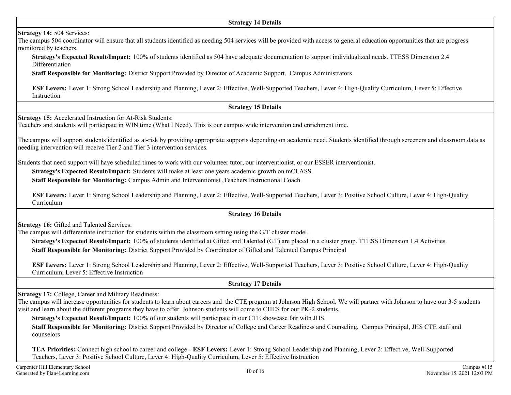#### **Strategy 14 Details**

### **Strategy 14:** 504 Services:

The campus 504 coordinator will ensure that all students identified as needing 504 services will be provided with access to general education opportunities that are progress monitored by teachers.

**Strategy's Expected Result/Impact:** 100% of students identified as 504 have adequate documentation to support individualized needs. TTESS Dimension 2.4 Differentiation

**Staff Responsible for Monitoring:** District Support Provided by Director of Academic Support, Campus Administrators

**ESF Levers:** Lever 1: Strong School Leadership and Planning, Lever 2: Effective, Well-Supported Teachers, Lever 4: High-Quality Curriculum, Lever 5: Effective **Instruction** 

# **Strategy 15 Details**

**Strategy 15:** Accelerated Instruction for At-Risk Students:

Teachers and students will participate in WIN time (What I Need). This is our campus wide intervention and enrichment time.

The campus will support students identified as at-risk by providing appropriate supports depending on academic need. Students identified through screeners and classroom data as needing intervention will receive Tier 2 and Tier 3 intervention services.

Students that need support will have scheduled times to work with our volunteer tutor, our interventionist, or our ESSER interventionist.

**Strategy's Expected Result/Impact:** Students will make at least one years academic growth on mCLASS.

**Staff Responsible for Monitoring:** Campus Admin and Interventionist ,Teachers Instructional Coach

**ESF Levers:** Lever 1: Strong School Leadership and Planning, Lever 2: Effective, Well-Supported Teachers, Lever 3: Positive School Culture, Lever 4: High-Quality Curriculum

# **Strategy 16 Details**

**Strategy 16:** Gifted and Talented Services:

The campus will differentiate instruction for students within the classroom setting using the G/T cluster model.

**Strategy's Expected Result/Impact:** 100% of students identified at Gifted and Talented (GT) are placed in a cluster group. TTESS Dimension 1.4 Activities **Staff Responsible for Monitoring:** District Support Provided by Coordinator of Gifted and Talented Campus Principal

**ESF Levers:** Lever 1: Strong School Leadership and Planning, Lever 2: Effective, Well-Supported Teachers, Lever 3: Positive School Culture, Lever 4: High-Quality Curriculum, Lever 5: Effective Instruction

# **Strategy 17 Details**

**Strategy 17:** College, Career and Military Readiness:

The campus will increase opportunities for students to learn about careers and the CTE program at Johnson High School. We will partner with Johnson to have our 3-5 students visit and learn about the different programs they have to offer. Johnson students will come to CHES for our PK-2 students.

**Strategy's Expected Result/Impact:** 100% of our students will participate in our CTE showcase fair with JHS.

**Staff Responsible for Monitoring:** District Support Provided by Director of College and Career Readiness and Counseling, Campus Principal, JHS CTE staff and counselors

**TEA Priorities:** Connect high school to career and college - **ESF Levers:** Lever 1: Strong School Leadership and Planning, Lever 2: Effective, Well-Supported Teachers, Lever 3: Positive School Culture, Lever 4: High-Quality Curriculum, Lever 5: Effective Instruction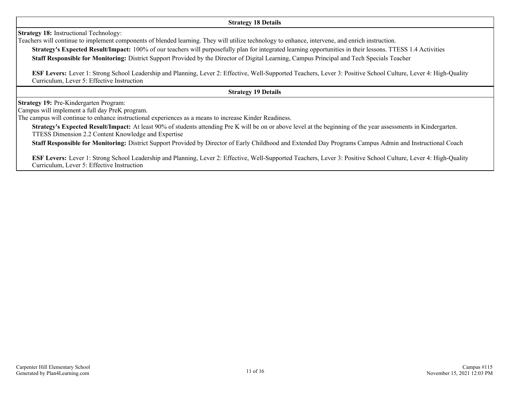#### **Strategy 18 Details**

**Strategy 18:** Instructional Technology:

Teachers will continue to implement components of blended learning. They will utilize technology to enhance, intervene, and enrich instruction.

**Strategy's Expected Result/Impact:** 100% of our teachers will purposefully plan for integrated learning opportunities in their lessons. TTESS 1.4 Activities **Staff Responsible for Monitoring:** District Support Provided by the Director of Digital Learning, Campus Principal and Tech Specials Teacher

**ESF Levers:** Lever 1: Strong School Leadership and Planning, Lever 2: Effective, Well-Supported Teachers, Lever 3: Positive School Culture, Lever 4: High-Quality Curriculum, Lever 5: Effective Instruction

**Strategy 19 Details**

**Strategy 19:** Pre-Kindergarten Program:

Campus will implement a full day PreK program.

The campus will continue to enhance instructional experiences as a means to increase Kinder Readiness.

**Strategy's Expected Result/Impact:** At least 90% of students attending Pre K will be on or above level at the beginning of the year assessments in Kindergarten. TTESS Dimension 2.2 Content Knowledge and Expertise

**Staff Responsible for Monitoring:** District Support Provided by Director of Early Childhood and Extended Day Programs Campus Admin and Instructional Coach

**ESF Levers:** Lever 1: Strong School Leadership and Planning, Lever 2: Effective, Well-Supported Teachers, Lever 3: Positive School Culture, Lever 4: High-Quality Curriculum, Lever 5: Effective Instruction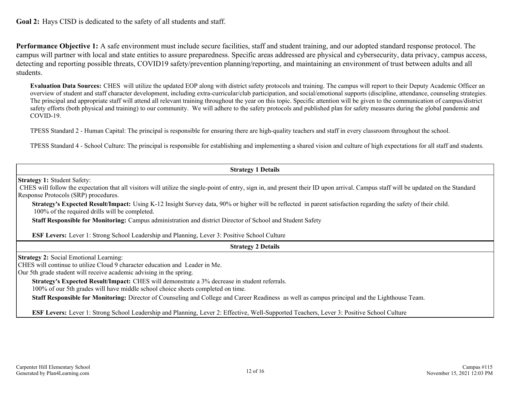**Goal 2:** Hays CISD is dedicated to the safety of all students and staff.

**Performance Objective 1:** A safe environment must include secure facilities, staff and student training, and our adopted standard response protocol. The campus will partner with local and state entities to assure preparedness. Specific areas addressed are physical and cybersecurity, data privacy, campus access, detecting and reporting possible threats, COVID19 safety/prevention planning/reporting, and maintaining an environment of trust between adults and all students.

**Evaluation Data Sources:** CHES will utilize the updated EOP along with district safety protocols and training. The campus will report to their Deputy Academic Officer an overview of student and staff character development, including extra-curricular/club participation, and social/emotional supports (discipline, attendance, counseling strategies. The principal and appropriate staff will attend all relevant training throughout the year on this topic. Specific attention will be given to the communication of campus/district safety efforts (both physical and training) to our community. We will adhere to the safety protocols and published plan for safety measures during the global pandemic and COVID-19.

TPESS Standard 2 - Human Capital: The principal is responsible for ensuring there are high-quality teachers and staff in every classroom throughout the school.

TPESS Standard 4 - School Culture: The principal is responsible for establishing and implementing a shared vision and culture of high expectations for all staff and students.

| <b>Strategy 1 Details</b>                                                                                                                                                                                                                                         |
|-------------------------------------------------------------------------------------------------------------------------------------------------------------------------------------------------------------------------------------------------------------------|
| <b>Strategy 1: Student Safety:</b><br>CHES will follow the expectation that all visitors will utilize the single-point of entry, sign in, and present their ID upon arrival. Campus staff will be updated on the Standard<br>Response Protocols (SRP) procedures. |
| Strategy's Expected Result/Impact: Using K-12 Insight Survey data, 90% or higher will be reflected in parent satisfaction regarding the safety of their child.<br>100% of the required drills will be completed.                                                  |
| Staff Responsible for Monitoring: Campus administration and district Director of School and Student Safety                                                                                                                                                        |
| <b>ESF Levers:</b> Lever 1: Strong School Leadership and Planning, Lever 3: Positive School Culture                                                                                                                                                               |
| <b>Strategy 2 Details</b>                                                                                                                                                                                                                                         |
| <b>Strategy 2: Social Emotional Learning:</b><br>CHES will continue to utilize Cloud 9 character education and Leader in Me.<br>Our 5th grade student will receive academic advising in the spring.                                                               |
| Strategy's Expected Result/Impact: CHES will demonstrate a 3% decrease in student referrals.<br>100% of our 5th grades will have middle school choice sheets completed on time.                                                                                   |
| Staff Responsible for Monitoring: Director of Counseling and College and Career Readiness as well as campus principal and the Lighthouse Team.                                                                                                                    |
| ESF Levers: Lever 1: Strong School Leadership and Planning, Lever 2: Effective, Well-Supported Teachers, Lever 3: Positive School Culture                                                                                                                         |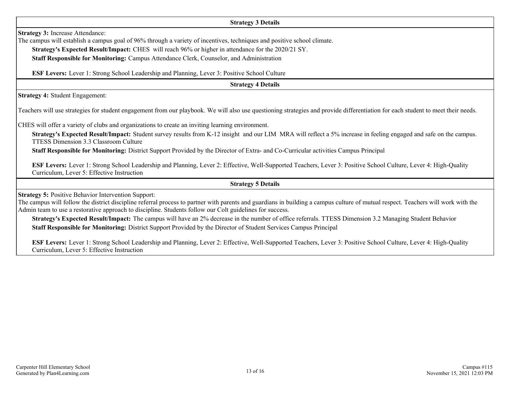#### **Strategy 3 Details**

**Strategy 3:** Increase Attendance:

The campus will establish a campus goal of 96% through a variety of incentives, techniques and positive school climate.

**Strategy's Expected Result/Impact:** CHES will reach 96% or higher in attendance for the 2020/21 SY.

**Staff Responsible for Monitoring:** Campus Attendance Clerk, Counselor, and Administration

**ESF Levers:** Lever 1: Strong School Leadership and Planning, Lever 3: Positive School Culture

**Strategy 4 Details**

**Strategy 4:** Student Engagement:

Teachers will use strategies for student engagement from our playbook. We will also use questioning strategies and provide differentiation for each student to meet their needs.

CHES will offer a variety of clubs and organizations to create an inviting learning environment.

**Strategy's Expected Result/Impact:** Student survey results from K-12 insight and our LIM MRA will reflect a 5% increase in feeling engaged and safe on the campus. TTESS Dimension 3.3 Classroom Culture

**Staff Responsible for Monitoring:** District Support Provided by the Director of Extra- and Co-Curricular activities Campus Principal

**ESF Levers:** Lever 1: Strong School Leadership and Planning, Lever 2: Effective, Well-Supported Teachers, Lever 3: Positive School Culture, Lever 4: High-Quality Curriculum, Lever 5: Effective Instruction

**Strategy 5 Details**

**Strategy 5:** Positive Behavior Intervention Support:

The campus will follow the district discipline referral process to partner with parents and guardians in building a campus culture of mutual respect. Teachers will work with the Admin team to use a restorative approach to discipline. Students follow our Colt guidelines for success.

**Strategy's Expected Result/Impact:** The campus will have an 2% decrease in the number of office referrals. TTESS Dimension 3.2 Managing Student Behavior **Staff Responsible for Monitoring:** District Support Provided by the Director of Student Services Campus Principal

**ESF Levers:** Lever 1: Strong School Leadership and Planning, Lever 2: Effective, Well-Supported Teachers, Lever 3: Positive School Culture, Lever 4: High-Quality Curriculum, Lever 5: Effective Instruction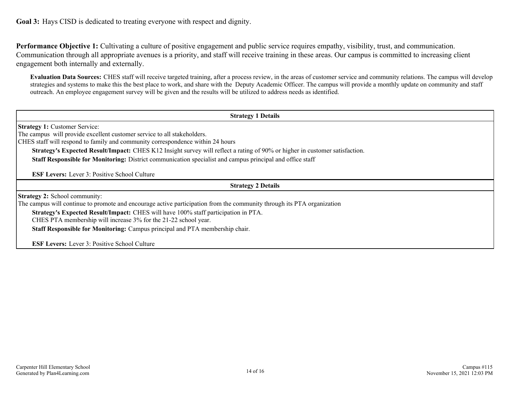**Goal 3:** Hays CISD is dedicated to treating everyone with respect and dignity.

**Performance Objective 1:** Cultivating a culture of positive engagement and public service requires empathy, visibility, trust, and communication. Communication through all appropriate avenues is a priority, and staff will receive training in these areas. Our campus is committed to increasing client engagement both internally and externally.

**Evaluation Data Sources:** CHES staff will receive targeted training, after a process review, in the areas of customer service and community relations. The campus will develop strategies and systems to make this the best place to work, and share with the Deputy Academic Officer. The campus will provide a monthly update on community and staff outreach. An employee engagement survey will be given and the results will be utilized to address needs as identified.

| <b>Strategy 1 Details</b>                                                                                                          |
|------------------------------------------------------------------------------------------------------------------------------------|
| <b>Strategy 1: Customer Service:</b>                                                                                               |
| The campus will provide excellent customer service to all stakeholders.                                                            |
| CHES staff will respond to family and community correspondence within 24 hours                                                     |
| <b>Strategy's Expected Result/Impact:</b> CHES K12 Insight survey will reflect a rating of 90% or higher in customer satisfaction. |
| Staff Responsible for Monitoring: District communication specialist and campus principal and office staff                          |
| <b>ESF Levers:</b> Lever 3: Positive School Culture                                                                                |
| <b>Strategy 2 Details</b>                                                                                                          |
| <b>Strategy 2:</b> School community:                                                                                               |
| The campus will continue to promote and encourage active participation from the community through its PTA organization             |
| <b>Strategy's Expected Result/Impact:</b> CHES will have 100% staff participation in PTA.                                          |
| CHES PTA membership will increase 3% for the 21-22 school year.                                                                    |
| Staff Responsible for Monitoring: Campus principal and PTA membership chair.                                                       |
| <b>ESF Levers:</b> Lever 3: Positive School Culture                                                                                |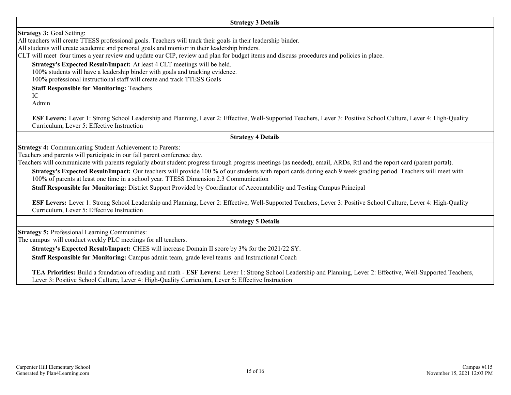**Strategy 3 Details**

**Strategy 3:** Goal Setting:

All teachers will create TTESS professional goals. Teachers will track their goals in their leadership binder.

All students will create academic and personal goals and monitor in their leadership binders.

CLT will meet four times a year review and update our CIP, review and plan for budget items and discuss procedures and policies in place.

**Strategy's Expected Result/Impact:** At least 4 CLT meetings will be held.

100% students will have a leadership binder with goals and tracking evidence.

100% professional instructional staff will create and track TTESS Goals

**Staff Responsible for Monitoring:** Teachers

IC

Admin

**ESF Levers:** Lever 1: Strong School Leadership and Planning, Lever 2: Effective, Well-Supported Teachers, Lever 3: Positive School Culture, Lever 4: High-Quality Curriculum, Lever 5: Effective Instruction

**Strategy 4 Details**

**Strategy 4:** Communicating Student Achievement to Parents:

Teachers and parents will participate in our fall parent conference day.

Teachers will communicate with parents regularly about student progress through progress meetings (as needed), email, ARDs, RtI and the report card (parent portal).

**Strategy's Expected Result/Impact:** Our teachers will provide 100 % of our students with report cards during each 9 week grading period. Teachers will meet with 100% of parents at least one time in a school year. TTESS Dimension 2.3 Communication

**Staff Responsible for Monitoring:** District Support Provided by Coordinator of Accountability and Testing Campus Principal

**ESF Levers:** Lever 1: Strong School Leadership and Planning, Lever 2: Effective, Well-Supported Teachers, Lever 3: Positive School Culture, Lever 4: High-Quality Curriculum, Lever 5: Effective Instruction

**Strategy 5 Details**

**Strategy 5:** Professional Learning Communities:

The campus will conduct weekly PLC meetings for all teachers.

**Strategy's Expected Result/Impact:** CHES will increase Domain II score by 3% for the 2021/22 SY.

**Staff Responsible for Monitoring:** Campus admin team, grade level teams and Instructional Coach

**TEA Priorities:** Build a foundation of reading and math - **ESF Levers:** Lever 1: Strong School Leadership and Planning, Lever 2: Effective, Well-Supported Teachers, Lever 3: Positive School Culture, Lever 4: High-Quality Curriculum, Lever 5: Effective Instruction